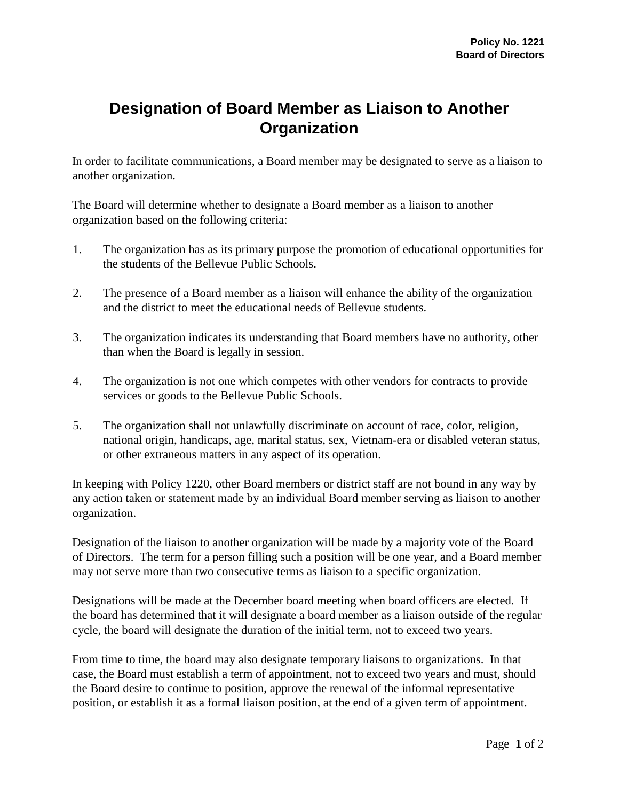## **Designation of Board Member as Liaison to Another Organization**

In order to facilitate communications, a Board member may be designated to serve as a liaison to another organization.

The Board will determine whether to designate a Board member as a liaison to another organization based on the following criteria:

- 1. The organization has as its primary purpose the promotion of educational opportunities for the students of the Bellevue Public Schools.
- 2. The presence of a Board member as a liaison will enhance the ability of the organization and the district to meet the educational needs of Bellevue students.
- 3. The organization indicates its understanding that Board members have no authority, other than when the Board is legally in session.
- 4. The organization is not one which competes with other vendors for contracts to provide services or goods to the Bellevue Public Schools.
- 5. The organization shall not unlawfully discriminate on account of race, color, religion, national origin, handicaps, age, marital status, sex, Vietnam-era or disabled veteran status, or other extraneous matters in any aspect of its operation.

In keeping with Policy 1220, other Board members or district staff are not bound in any way by any action taken or statement made by an individual Board member serving as liaison to another organization.

Designation of the liaison to another organization will be made by a majority vote of the Board of Directors. The term for a person filling such a position will be one year, and a Board member may not serve more than two consecutive terms as liaison to a specific organization.

Designations will be made at the December board meeting when board officers are elected. If the board has determined that it will designate a board member as a liaison outside of the regular cycle, the board will designate the duration of the initial term, not to exceed two years.

From time to time, the board may also designate temporary liaisons to organizations. In that case, the Board must establish a term of appointment, not to exceed two years and must, should the Board desire to continue to position, approve the renewal of the informal representative position, or establish it as a formal liaison position, at the end of a given term of appointment.